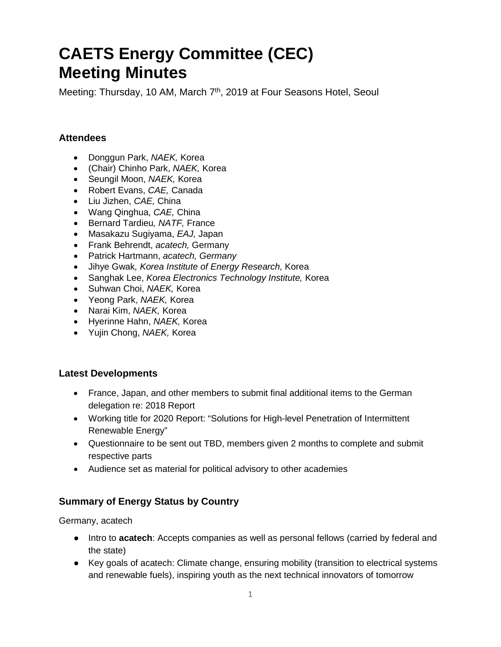# **CAETS Energy Committee (CEC) Meeting Minutes**

Meeting: Thursday, 10 AM, March 7<sup>th</sup>, 2019 at Four Seasons Hotel, Seoul

# **Attendees**

- Donggun Park, *NAEK,* Korea
- (Chair) Chinho Park, *NAEK,* Korea
- Seungil Moon, *NAEK,* Korea
- Robert Evans, *CAE,* Canada
- Liu Jizhen, *CAE,* China
- Wang Qinghua, *CAE,* China
- Bernard Tardieu*, NATF,* France
- Masakazu Sugiyama, *EAJ,* Japan
- Frank Behrendt, *acatech,* Germany
- Patrick Hartmann, *acatech, Germany*
- Jihye Gwak*, Korea Institute of Energy Research,* Korea
- Sanghak Lee, *Korea Electronics Technology Institute,* Korea
- Suhwan Choi, *NAEK,* Korea
- Yeong Park, *NAEK,* Korea
- Narai Kim, *NAEK,* Korea
- Hyerinne Hahn, *NAEK,* Korea
- Yujin Chong, *NAEK,* Korea

# **Latest Developments**

- France, Japan, and other members to submit final additional items to the German delegation re: 2018 Report
- Working title for 2020 Report: "Solutions for High-level Penetration of Intermittent Renewable Energy"
- Questionnaire to be sent out TBD, members given 2 months to complete and submit respective parts
- Audience set as material for political advisory to other academies

# **Summary of Energy Status by Country**

Germany, acatech

- Intro to **acatech**: Accepts companies as well as personal fellows (carried by federal and the state)
- Key goals of acatech: Climate change, ensuring mobility (transition to electrical systems and renewable fuels), inspiring youth as the next technical innovators of tomorrow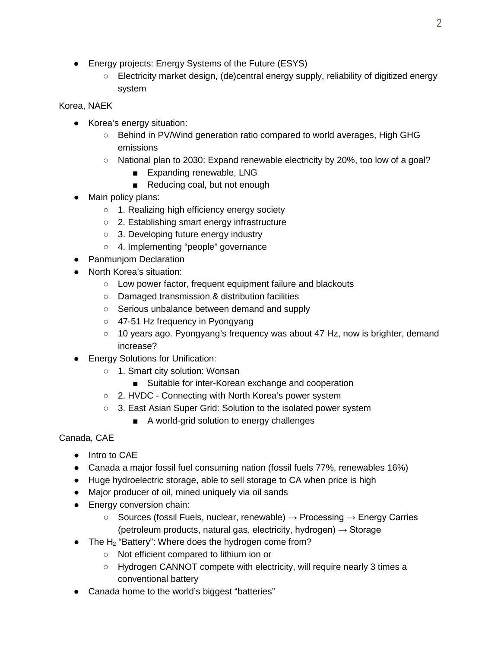- Energy projects: Energy Systems of the Future (ESYS)
	- Electricity market design, (de)central energy supply, reliability of digitized energy system

#### Korea, NAEK

- Korea's energy situation:
	- Behind in PV/Wind generation ratio compared to world averages, High GHG emissions
	- National plan to 2030: Expand renewable electricity by 20%, too low of a goal?
		- Expanding renewable, LNG
		- Reducing coal, but not enough
- Main policy plans:
	- 1. Realizing high efficiency energy society
	- 2. Establishing smart energy infrastructure
	- 3. Developing future energy industry
	- 4. Implementing "people" governance
- Panmuniom Declaration
- North Korea's situation:
	- Low power factor, frequent equipment failure and blackouts
	- Damaged transmission & distribution facilities
	- Serious unbalance between demand and supply
	- 47-51 Hz frequency in Pyongyang
	- $\circ$  10 years ago. Pyongyang's frequency was about 47 Hz, now is brighter, demand increase?
- Energy Solutions for Unification:
	- 1. Smart city solution: Wonsan
		- Suitable for inter-Korean exchange and cooperation
	- 2. HVDC Connecting with North Korea's power system
	- 3. East Asian Super Grid: Solution to the isolated power system
		- A world-grid solution to energy challenges

#### Canada, CAE

- Intro to CAE
- Canada a major fossil fuel consuming nation (fossil fuels 77%, renewables 16%)
- Huge hydroelectric storage, able to sell storage to CA when price is high
- Major producer of oil, mined uniquely via oil sands
- Energy conversion chain:
	- $\circ$  Sources (fossil Fuels, nuclear, renewable)  $\rightarrow$  Processing  $\rightarrow$  Energy Carries (petroleum products, natural gas, electricity, hydrogen)  $\rightarrow$  Storage
- The  $H_2$  "Battery": Where does the hydrogen come from?
	- Not efficient compared to lithium ion or
	- Hydrogen CANNOT compete with electricity, will require nearly 3 times a conventional battery
- Canada home to the world's biggest "batteries"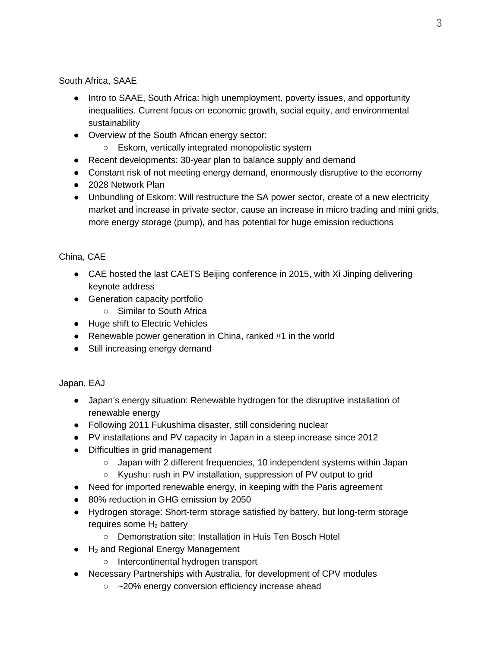South Africa, SAAE

- Intro to SAAE, South Africa: high unemployment, poverty issues, and opportunity inequalities. Current focus on economic growth, social equity, and environmental sustainability
- Overview of the South African energy sector:
	- Eskom, vertically integrated monopolistic system
- Recent developments: 30-year plan to balance supply and demand
- Constant risk of not meeting energy demand, enormously disruptive to the economy
- 2028 Network Plan
- Unbundling of Eskom: Will restructure the SA power sector, create of a new electricity market and increase in private sector, cause an increase in micro trading and mini grids, more energy storage (pump), and has potential for huge emission reductions

# China, CAE

- CAE hosted the last CAETS Beijing conference in 2015, with Xi Jinping delivering keynote address
- Generation capacity portfolio
	- Similar to South Africa
- Huge shift to Electric Vehicles
- Renewable power generation in China, ranked #1 in the world
- Still increasing energy demand

# Japan, EAJ

- Japan's energy situation: Renewable hydrogen for the disruptive installation of renewable energy
- Following 2011 Fukushima disaster, still considering nuclear
- PV installations and PV capacity in Japan in a steep increase since 2012
- Difficulties in grid management
	- Japan with 2 different frequencies, 10 independent systems within Japan
	- Kyushu: rush in PV installation, suppression of PV output to grid
- Need for imported renewable energy, in keeping with the Paris agreement
- 80% reduction in GHG emission by 2050
- Hydrogen storage: Short-term storage satisfied by battery, but long-term storage requires some  $H_2$  battery
	- Demonstration site: Installation in Huis Ten Bosch Hotel
- $\bullet$  H<sub>2</sub> and Regional Energy Management
	- Intercontinental hydrogen transport
- Necessary Partnerships with Australia, for development of CPV modules
	- ~20% energy conversion efficiency increase ahead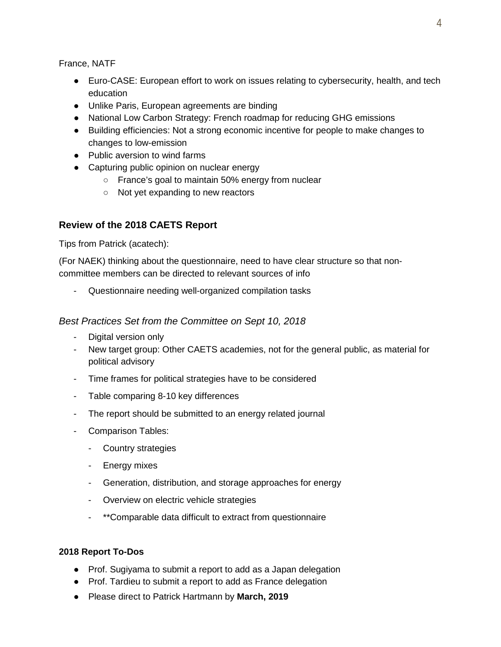France, NATF

- Euro-CASE: European effort to work on issues relating to cybersecurity, health, and tech education
- Unlike Paris, European agreements are binding
- National Low Carbon Strategy: French roadmap for reducing GHG emissions
- Building efficiencies: Not a strong economic incentive for people to make changes to changes to low-emission
- Public aversion to wind farms
- Capturing public opinion on nuclear energy
	- France's goal to maintain 50% energy from nuclear
	- Not yet expanding to new reactors

# **Review of the 2018 CAETS Report**

Tips from Patrick (acatech):

(For NAEK) thinking about the questionnaire, need to have clear structure so that noncommittee members can be directed to relevant sources of info

Questionnaire needing well-organized compilation tasks

#### *Best Practices Set from the Committee on Sept 10, 2018*

- Digital version only
- New target group: Other CAETS academies, not for the general public, as material for political advisory
- Time frames for political strategies have to be considered
- Table comparing 8-10 key differences
- The report should be submitted to an energy related journal
- Comparison Tables:
	- Country strategies
	- Energy mixes
	- Generation, distribution, and storage approaches for energy
	- Overview on electric vehicle strategies
	- \*\*Comparable data difficult to extract from questionnaire

#### **2018 Report To-Dos**

- Prof. Sugiyama to submit a report to add as a Japan delegation
- Prof. Tardieu to submit a report to add as France delegation
- Please direct to Patrick Hartmann by **March, 2019**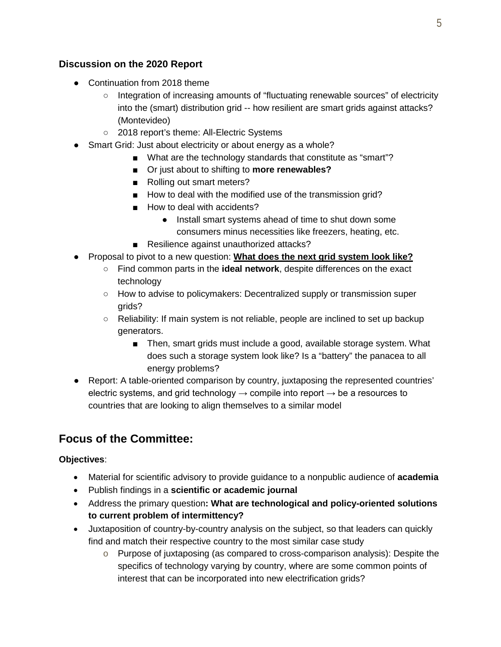# **Discussion on the 2020 Report**

- Continuation from 2018 theme
	- Integration of increasing amounts of "fluctuating renewable sources" of electricity into the (smart) distribution grid -- how resilient are smart grids against attacks? (Montevideo)
	- 2018 report's theme: All-Electric Systems
- Smart Grid: Just about electricity or about energy as a whole?
	- What are the technology standards that constitute as "smart"?
	- Or just about to shifting to **more renewables?**
	- Rolling out smart meters?
	- How to deal with the modified use of the transmission grid?
	- How to deal with accidents?
		- Install smart systems ahead of time to shut down some consumers minus necessities like freezers, heating, etc.
	- Resilience against unauthorized attacks?
- Proposal to pivot to a new question: **What does the next grid system look like?**
	- Find common parts in the **ideal network**, despite differences on the exact technology
	- How to advise to policymakers: Decentralized supply or transmission super grids?
	- Reliability: If main system is not reliable, people are inclined to set up backup generators.
		- Then, smart grids must include a good, available storage system. What does such a storage system look like? Is a "battery" the panacea to all energy problems?
- Report: A table-oriented comparison by country, juxtaposing the represented countries' electric systems, and grid technology  $\rightarrow$  compile into report  $\rightarrow$  be a resources to countries that are looking to align themselves to a similar model

# **Focus of the Committee:**

#### **Objectives**:

- Material for scientific advisory to provide guidance to a nonpublic audience of **academia**
- Publish findings in a **scientific or academic journal**
- Address the primary question**: What are technological and policy-oriented solutions to current problem of intermittency?**
- Juxtaposition of country-by-country analysis on the subject, so that leaders can quickly find and match their respective country to the most similar case study
	- $\circ$  Purpose of juxtaposing (as compared to cross-comparison analysis): Despite the specifics of technology varying by country, where are some common points of interest that can be incorporated into new electrification grids?